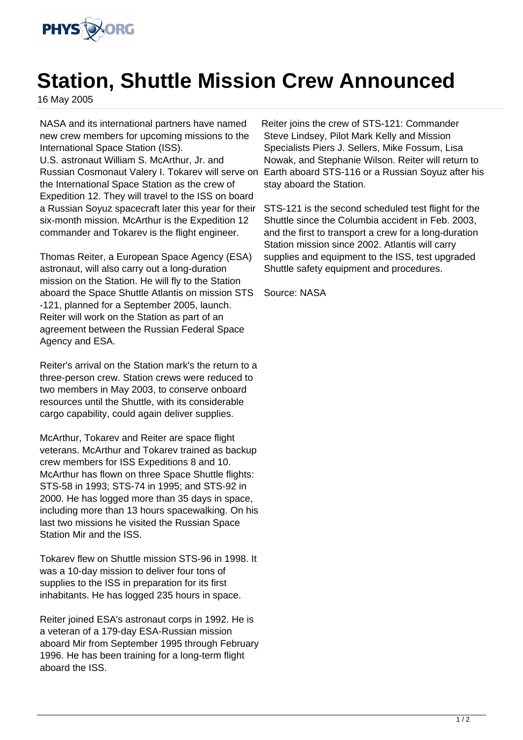

## **Station, Shuttle Mission Crew Announced**

16 May 2005

NASA and its international partners have named new crew members for upcoming missions to the International Space Station (ISS). U.S. astronaut William S. McArthur, Jr. and the International Space Station as the crew of Expedition 12. They will travel to the ISS on board a Russian Soyuz spacecraft later this year for their six-month mission. McArthur is the Expedition 12 commander and Tokarev is the flight engineer.

Thomas Reiter, a European Space Agency (ESA) astronaut, will also carry out a long-duration mission on the Station. He will fly to the Station aboard the Space Shuttle Atlantis on mission STS -121, planned for a September 2005, launch. Reiter will work on the Station as part of an agreement between the Russian Federal Space Agency and ESA.

Reiter's arrival on the Station mark's the return to a three-person crew. Station crews were reduced to two members in May 2003, to conserve onboard resources until the Shuttle, with its considerable cargo capability, could again deliver supplies.

McArthur, Tokarev and Reiter are space flight veterans. McArthur and Tokarev trained as backup crew members for ISS Expeditions 8 and 10. McArthur has flown on three Space Shuttle flights: STS-58 in 1993; STS-74 in 1995; and STS-92 in 2000. He has logged more than 35 days in space, including more than 13 hours spacewalking. On his last two missions he visited the Russian Space Station Mir and the ISS.

Tokarev flew on Shuttle mission STS-96 in 1998. It was a 10-day mission to deliver four tons of supplies to the ISS in preparation for its first inhabitants. He has logged 235 hours in space.

Reiter joined ESA's astronaut corps in 1992. He is a veteran of a 179-day ESA-Russian mission aboard Mir from September 1995 through February 1996. He has been training for a long-term flight aboard the ISS.

Russian Cosmonaut Valery I. Tokarev will serve on Earth aboard STS-116 or a Russian Soyuz after his Reiter joins the crew of STS-121: Commander Steve Lindsey, Pilot Mark Kelly and Mission Specialists Piers J. Sellers, Mike Fossum, Lisa Nowak, and Stephanie Wilson. Reiter will return to stay aboard the Station.

> STS-121 is the second scheduled test flight for the Shuttle since the Columbia accident in Feb. 2003, and the first to transport a crew for a long-duration Station mission since 2002. Atlantis will carry supplies and equipment to the ISS, test upgraded Shuttle safety equipment and procedures.

Source: NASA